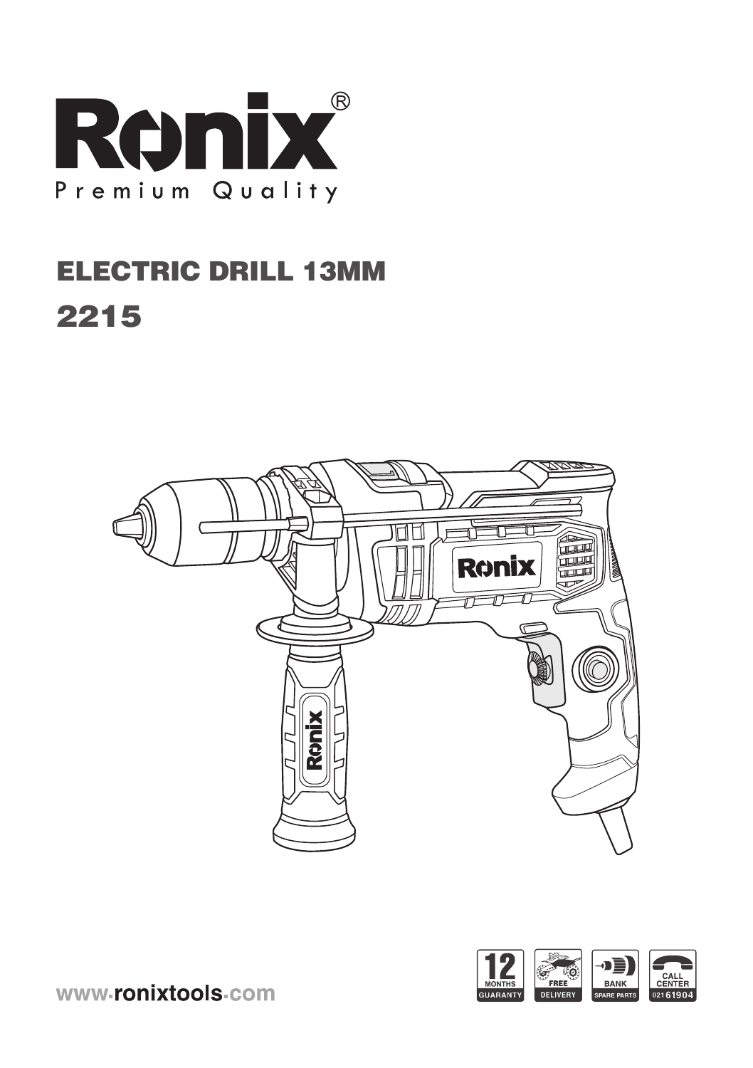

# **ELECTRIC DRILL 13MM** 2215





www-ronixtools-com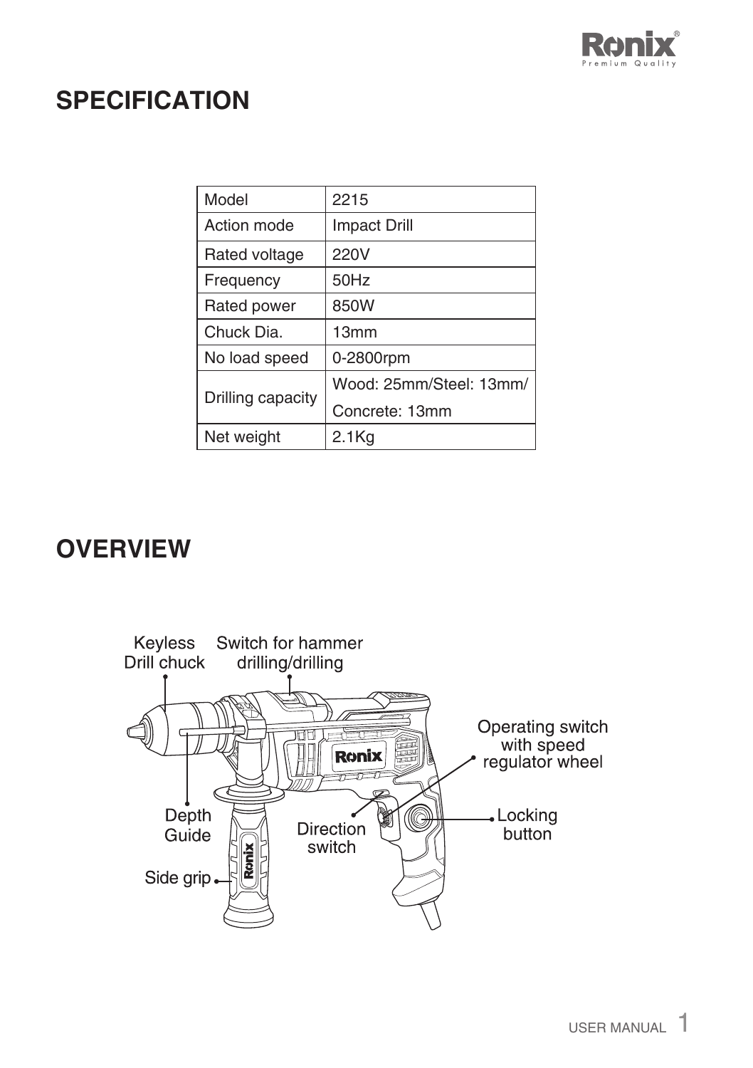

### **SPECIFICATION**

| Model             | 2215                    |
|-------------------|-------------------------|
| Action mode       | <b>Impact Drill</b>     |
| Rated voltage     | 220V                    |
| Frequency         | 50Hz                    |
| Rated power       | 850W                    |
| Chuck Dia.        | 13mm                    |
| No load speed     | 0-2800rpm               |
| Drilling capacity | Wood: 25mm/Steel: 13mm/ |
|                   | Concrete: 13mm          |
| Net weight        | 2.1Kg                   |

### **OVERVIEW**

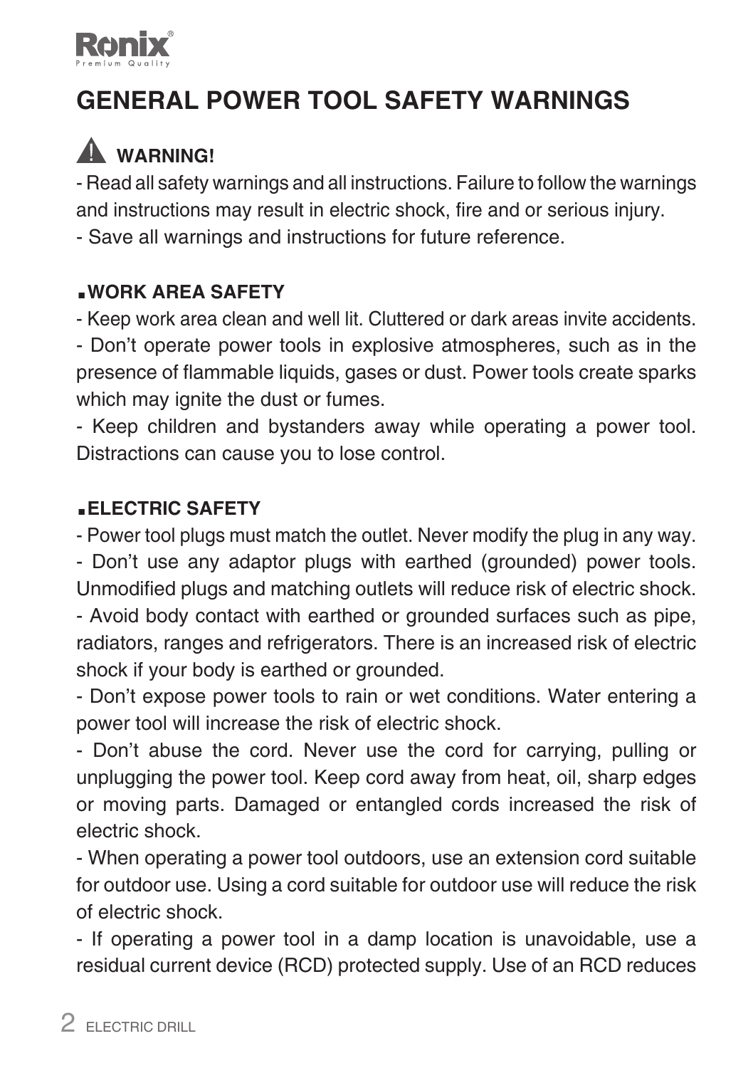

# **GENERAL POWER TOOL SAFETY WARNINGS**

# **WARNING!**

- Read all safety warnings and all instructions. Failure to follow the warnings and instructions may result in electric shock, fire and or serious injury.

- Save all warnings and instructions for future reference.

#### **.WORK AREA SAFETY**

- Keep work area clean and well lit. Cluttered or dark areas invite accidents.

- Don't operate power tools in explosive atmospheres, such as in the presence of flammable liquids, gases or dust. Power tools create sparks which may ignite the dust or fumes.

- Keep children and bystanders away while operating a power tool. Distractions can cause you to lose control.

#### **.ELECTRIC SAFETY**

- Power tool plugs must match the outlet. Never modify the plug in any way.

- Don't use any adaptor plugs with earthed (grounded) power tools. Unmodified plugs and matching outlets will reduce risk of electric shock.

- Avoid body contact with earthed or grounded surfaces such as pipe, radiators, ranges and refrigerators. There is an increased risk of electric shock if your body is earthed or grounded.

- Don't expose power tools to rain or wet conditions. Water entering a power tool will increase the risk of electric shock.

- Don't abuse the cord. Never use the cord for carrying, pulling or unplugging the power tool. Keep cord away from heat, oil, sharp edges or moving parts. Damaged or entangled cords increased the risk of electric shock.

- When operating a power tool outdoors, use an extension cord suitable for outdoor use. Using a cord suitable for outdoor use will reduce the risk of electric shock.

- If operating a power tool in a damp location is unavoidable, use a residual current device (RCD) protected supply. Use of an RCD reduces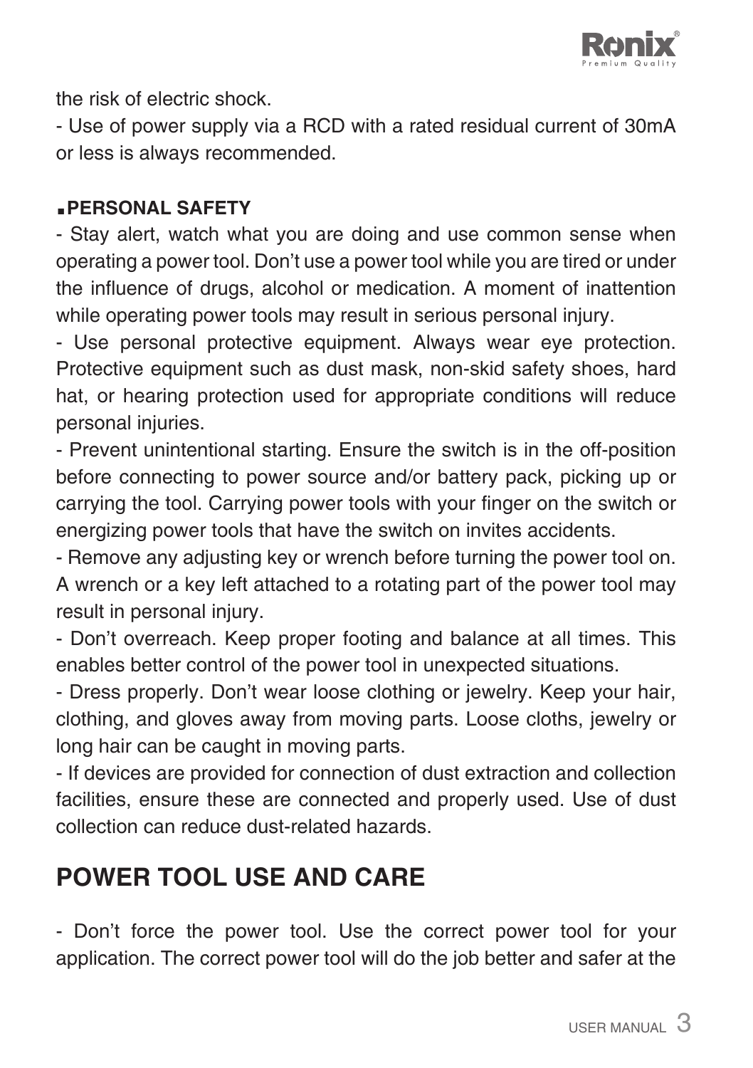

the risk of electric shock.

- Use of power supply via a RCD with a rated residual current of 30mA or less is always recommended.

#### **.PERSONAL SAFETY**

- Stay alert, watch what you are doing and use common sense when operating a power tool. Don't use a power tool while you are tired or under the influence of drugs, alcohol or medication. A moment of inattention while operating power tools may result in serious personal injury.

- Use personal protective equipment. Always wear eye protection. Protective equipment such as dust mask, non-skid safety shoes, hard hat, or hearing protection used for appropriate conditions will reduce personal injuries.

- Prevent unintentional starting. Ensure the switch is in the off-position before connecting to power source and/or battery pack, picking up or carrying the tool. Carrying power tools with your finger on the switch or energizing power tools that have the switch on invites accidents.

- Remove any adjusting key or wrench before turning the power tool on. A wrench or a key left attached to a rotating part of the power tool may result in personal injury.

- Don't overreach. Keep proper footing and balance at all times. This enables better control of the power tool in unexpected situations.

- Dress properly. Don't wear loose clothing or jewelry. Keep your hair, clothing, and gloves away from moving parts. Loose cloths, jewelry or long hair can be caught in moving parts.

- If devices are provided for connection of dust extraction and collection facilities, ensure these are connected and properly used. Use of dust collection can reduce dust-related hazards.

## **POWER TOOL USE AND CARE**

- Don't force the power tool. Use the correct power tool for your application. The correct power tool will do the job better and safer at the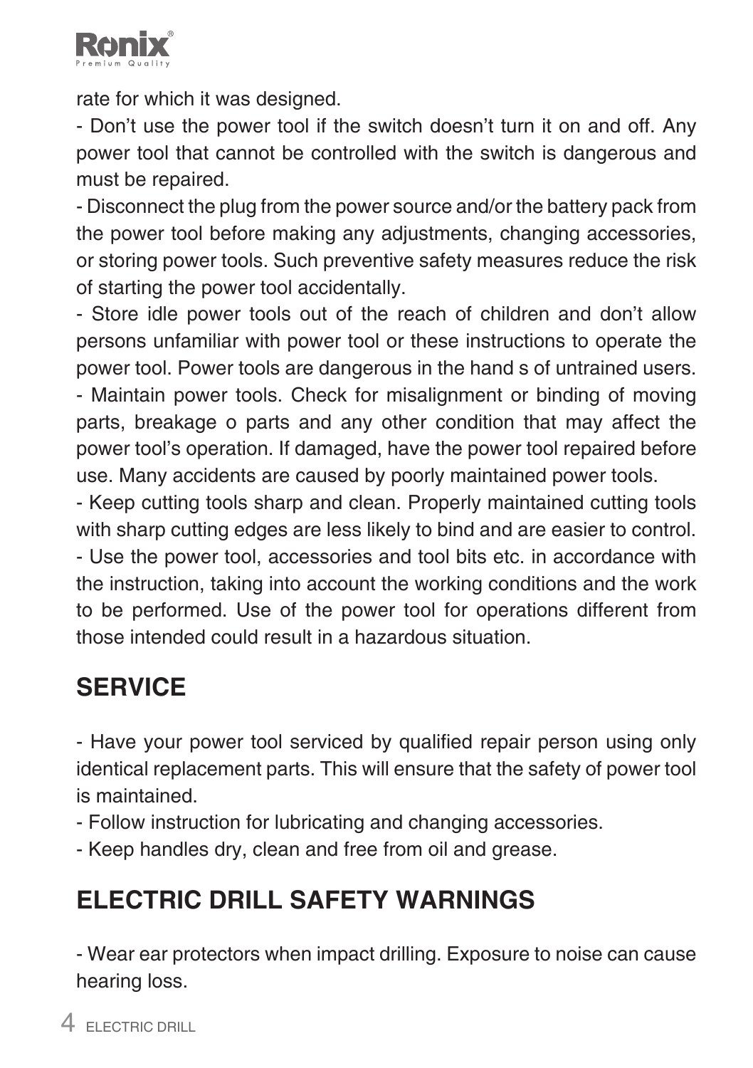

rate for which it was designed.

- Don't use the power tool if the switch doesn't turn it on and off. Any power tool that cannot be controlled with the switch is dangerous and must be repaired.

- Disconnect the plug from the power source and/or the battery pack from the power tool before making any adjustments, changing accessories, or storing power tools. Such preventive safety measures reduce the risk of starting the power tool accidentally.

- Store idle power tools out of the reach of children and don't allow persons unfamiliar with power tool or these instructions to operate the power tool. Power tools are dangerous in the hand s of untrained users. - Maintain power tools. Check for misalignment or binding of moving parts, breakage o parts and any other condition that may affect the power tool's operation. If damaged, have the power tool repaired before use. Many accidents are caused by poorly maintained power tools.

- Keep cutting tools sharp and clean. Properly maintained cutting tools with sharp cutting edges are less likely to bind and are easier to control. - Use the power tool, accessories and tool bits etc. in accordance with the instruction, taking into account the working conditions and the work to be performed. Use of the power tool for operations different from those intended could result in a hazardous situation.

### **SERVICE**

- Have your power tool serviced by qualified repair person using only identical replacement parts. This will ensure that the safety of power tool is maintained.

- Follow instruction for lubricating and changing accessories.
- Keep handles dry, clean and free from oil and grease.

## **ELECTRIC DRILL SAFETY WARNINGS**

- Wear ear protectors when impact drilling. Exposure to noise can cause hearing loss.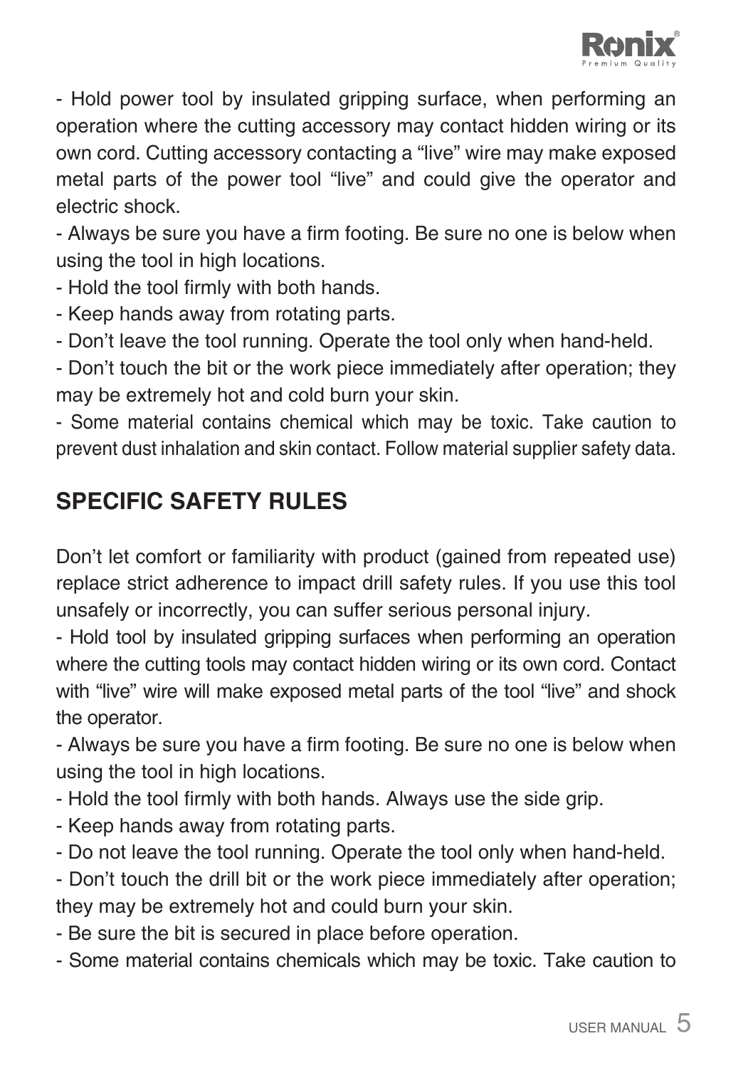

- Hold power tool by insulated gripping surface, when performing an operation where the cutting accessory may contact hidden wiring or its own cord. Cutting accessory contacting a "live" wire may make exposed metal parts of the power tool "live" and could give the operator and electric shock.

- Always be sure you have a firm footing. Be sure no one is below when using the tool in high locations.

- Hold the tool firmly with both hands.
- Keep hands away from rotating parts.
- Don't leave the tool running. Operate the tool only when hand-held.

- Don't touch the bit or the work piece immediately after operation; they may be extremely hot and cold burn your skin.

- Some material contains chemical which may be toxic. Take caution to prevent dust inhalation and skin contact. Follow material supplier safety data.

### **SPECIFIC SAFETY RULES**

Don't let comfort or familiarity with product (gained from repeated use) replace strict adherence to impact drill safety rules. If you use this tool unsafely or incorrectly, you can suffer serious personal injury.

- Hold tool by insulated gripping surfaces when performing an operation where the cutting tools may contact hidden wiring or its own cord. Contact with "live" wire will make exposed metal parts of the tool "live" and shock the operator.

- Always be sure you have a firm footing. Be sure no one is below when using the tool in high locations.

- Hold the tool firmly with both hands. Always use the side grip.
- Keep hands away from rotating parts.
- Do not leave the tool running. Operate the tool only when hand-held.

- Don't touch the drill bit or the work piece immediately after operation; they may be extremely hot and could burn your skin.

- Be sure the bit is secured in place before operation.
- Some material contains chemicals which may be toxic. Take caution to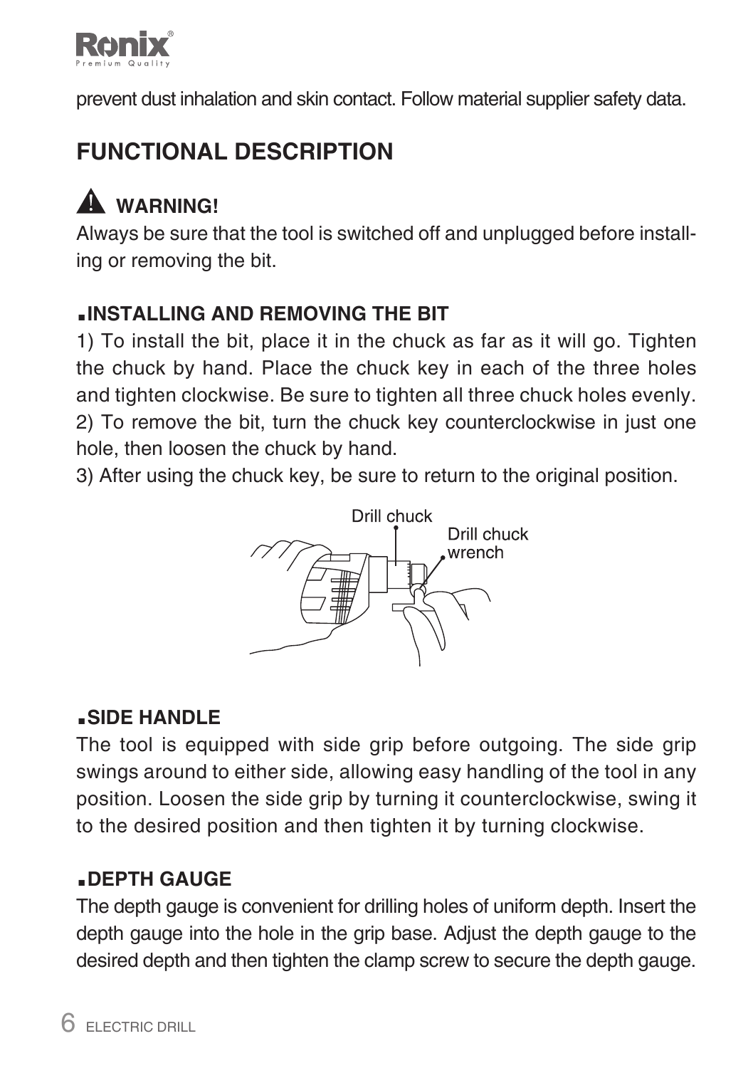

prevent dust inhalation and skin contact. Follow material supplier safety data.

### **FUNCTIONAL DESCRIPTION**

# A WARNING!

Always be sure that the tool is switched off and unplugged before installing or removing the bit.

#### **.INSTALLING AND REMOVING THE BIT**

1) To install the bit, place it in the chuck as far as it will go. Tighten the chuck by hand. Place the chuck key in each of the three holes and tighten clockwise. Be sure to tighten all three chuck holes evenly. 2) To remove the bit, turn the chuck key counterclockwise in just one hole, then loosen the chuck by hand.

3) After using the chuck key, be sure to return to the original position.



#### **.SIDE HANDLE**

The tool is equipped with side grip before outgoing. The side grip swings around to either side, allowing easy handling of the tool in any position. Loosen the side grip by turning it counterclockwise, swing it to the desired position and then tighten it by turning clockwise.

#### **.DEPTH GAUGE**

The depth gauge is convenient for drilling holes of uniform depth. Insert the depth gauge into the hole in the grip base. Adjust the depth gauge to the desired depth and then tighten the clamp screw to secure the depth gauge.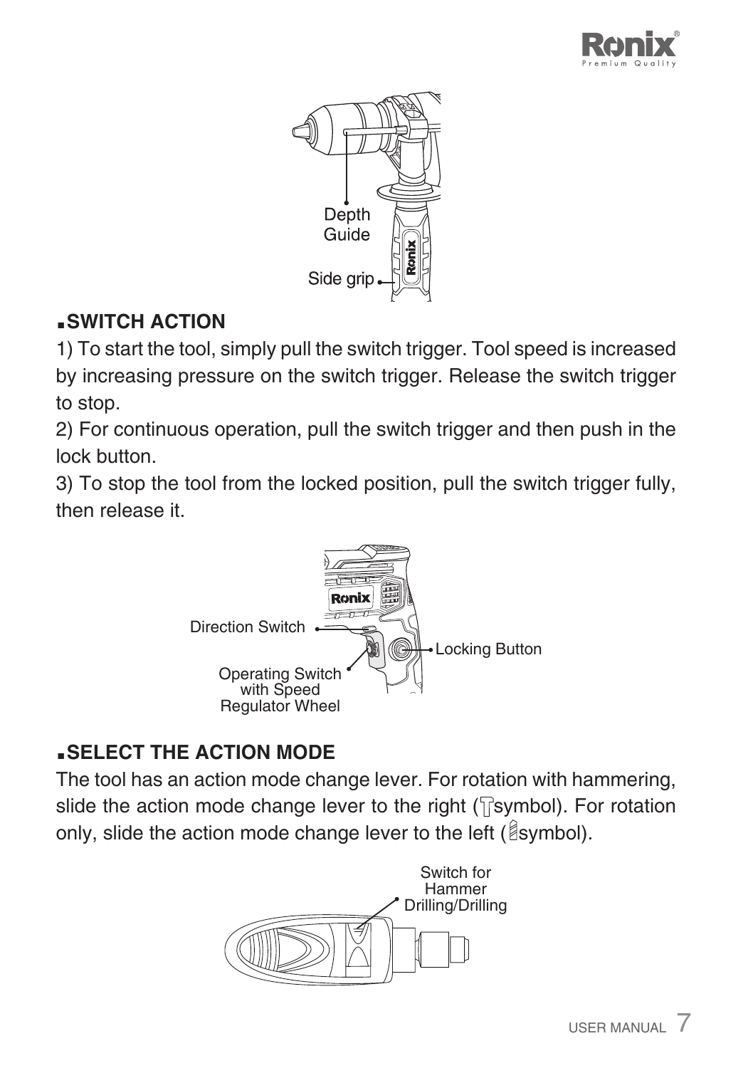



### **.SWITCH ACTION**

1) To start the tool, simply pull the switch trigger. Tool speed is increased by increasing pressure on the switch trigger. Release the switch trigger to stop.

2) For continuous operation, pull the switch trigger and then push in the lock button.

3) To stop the tool from the locked position, pull the switch trigger fully, then release it.



### **.SELECT THE ACTION MODE**

The tool has an action mode change lever. For rotation with hammering, slide the action mode change lever to the right ( $\sqrt{ }$  symbol). For rotation only, slide the action mode change lever to the left ( $\&$ symbol).

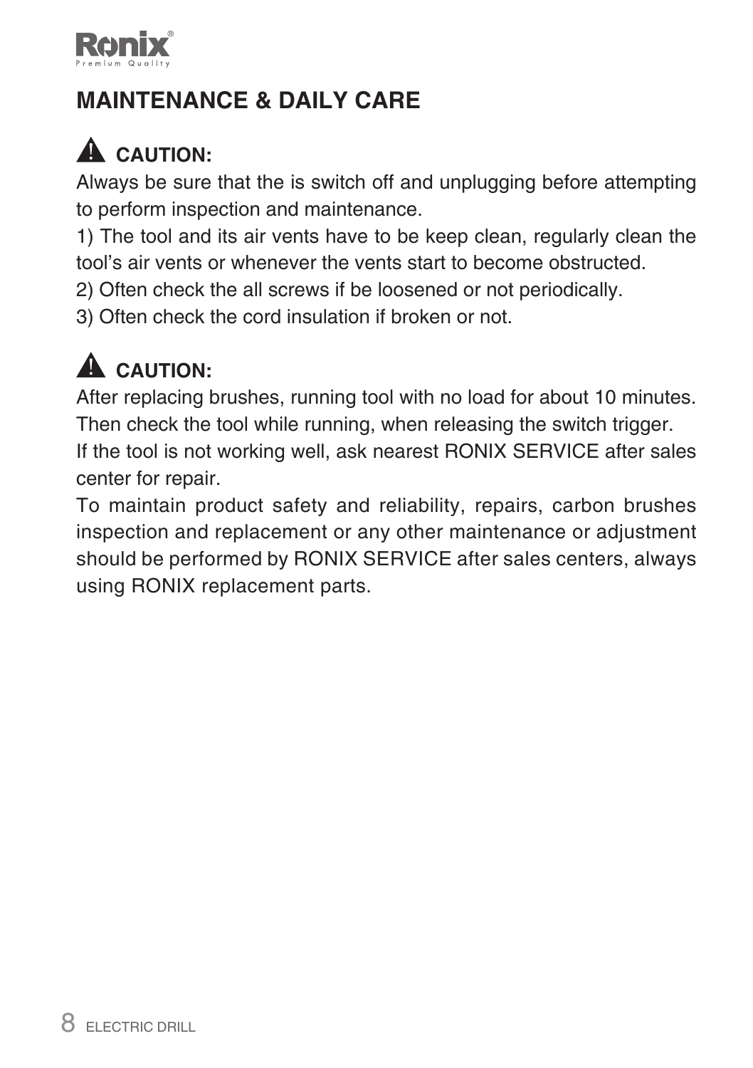

### **MAINTENANCE & DAILY CARE**

# A CAUTION:

Always be sure that the is switch off and unplugging before attempting to perform inspection and maintenance.

1) The tool and its air vents have to be keep clean, regularly clean the tool's air vents or whenever the vents start to become obstructed.

2) Often check the all screws if be loosened or not periodically.

3) Often check the cord insulation if broken or not.

# A CAUTION:

After replacing brushes, running tool with no load for about 10 minutes. Then check the tool while running, when releasing the switch trigger. If the tool is not working well, ask nearest RONIX SERVICE after sales center for repair.

To maintain product safety and reliability, repairs, carbon brushes inspection and replacement or any other maintenance or adjustment should be performed by RONIX SERVICE after sales centers, always using RONIX replacement parts.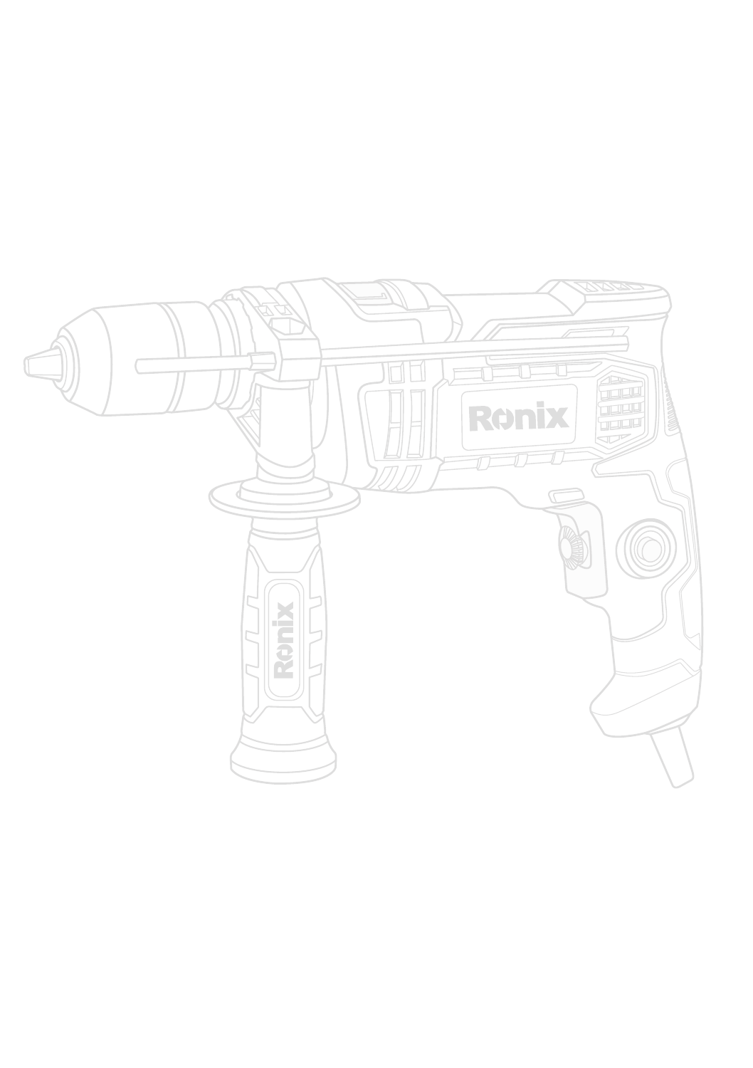